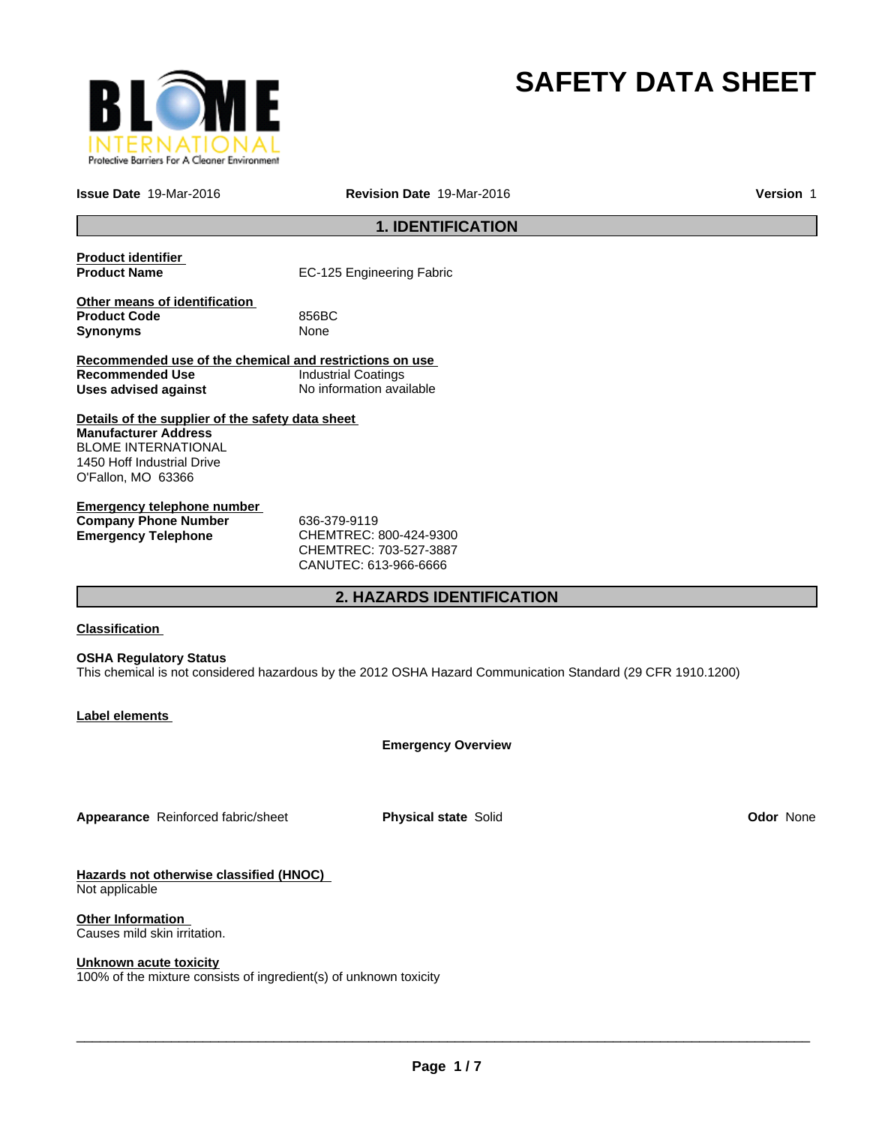

# **SAFETY DATA SHEET**

**Issue Date** 19-Mar-2016

**Revision Date** 19-Mar-2016 **Version** 1

# **1. IDENTIFICATION**

| <b>Product identifier</b><br><b>Product Name</b>                                                                                                                  | EC-125 Engineering Fabric                                                                 |
|-------------------------------------------------------------------------------------------------------------------------------------------------------------------|-------------------------------------------------------------------------------------------|
| Other means of identification<br><b>Product Code</b><br><b>Synonyms</b>                                                                                           | 856BC<br>None                                                                             |
| Recommended use of the chemical and restrictions on use                                                                                                           |                                                                                           |
| <b>Recommended Use</b>                                                                                                                                            | <b>Industrial Coatings</b>                                                                |
| Uses advised against                                                                                                                                              | No information available                                                                  |
| Details of the supplier of the safety data sheet<br><b>Manufacturer Address</b><br><b>BLOME INTERNATIONAL</b><br>1450 Hoff Industrial Drive<br>O'Fallon, MO 63366 |                                                                                           |
| Emergency telephone number<br><b>Company Phone Number</b><br><b>Emergency Telephone</b>                                                                           | 636-379-9119<br>CHEMTREC: 800-424-9300<br>CHEMTREC: 703-527-3887<br>CANUTEC: 613-966-6666 |

# **2. HAZARDS IDENTIFICATION**

#### **Classification**

#### **OSHA Regulatory Status**

This chemical is not considered hazardous by the 2012 OSHA Hazard Communication Standard (29 CFR 1910.1200)

#### **Label elements**

**Emergency Overview**

**Appearance** Reinforced fabric/sheet **Physical state** Solid **Odor** None

**Hazards not otherwise classified (HNOC)**  Not applicable

**Other Information**  Causes mild skin irritation.

#### **Unknown acute toxicity**

100% of the mixture consists of ingredient(s) of unknown toxicity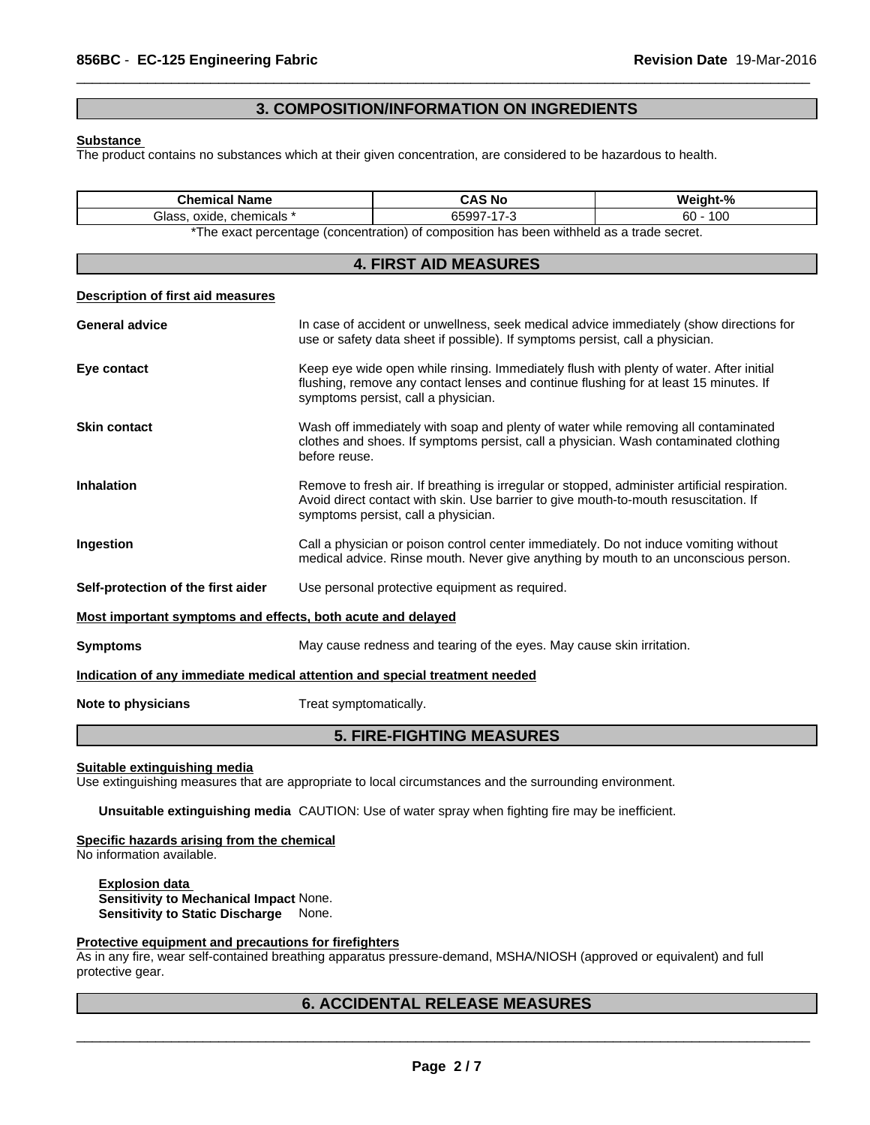# **3. COMPOSITION/INFORMATION ON INGREDIENTS**

 $\overline{\phantom{a}}$  ,  $\overline{\phantom{a}}$  ,  $\overline{\phantom{a}}$  ,  $\overline{\phantom{a}}$  ,  $\overline{\phantom{a}}$  ,  $\overline{\phantom{a}}$  ,  $\overline{\phantom{a}}$  ,  $\overline{\phantom{a}}$  ,  $\overline{\phantom{a}}$  ,  $\overline{\phantom{a}}$  ,  $\overline{\phantom{a}}$  ,  $\overline{\phantom{a}}$  ,  $\overline{\phantom{a}}$  ,  $\overline{\phantom{a}}$  ,  $\overline{\phantom{a}}$  ,  $\overline{\phantom{a}}$ 

#### **Substance**

The product contains no substances which at their given concentration, are considered to be hazardous to health.

| <b>Chemical Name</b>                                                       |                        | <b>CAS No</b>                                                                                                               | Weight-%                                                                                                                                                                         |
|----------------------------------------------------------------------------|------------------------|-----------------------------------------------------------------------------------------------------------------------------|----------------------------------------------------------------------------------------------------------------------------------------------------------------------------------|
| Glass, oxide, chemicals *                                                  |                        | 65997-17-3                                                                                                                  | $60 - 100$                                                                                                                                                                       |
|                                                                            |                        | *The exact percentage (concentration) of composition has been withheld as a trade secret.                                   |                                                                                                                                                                                  |
|                                                                            |                        | <b>4. FIRST AID MEASURES</b>                                                                                                |                                                                                                                                                                                  |
| Description of first aid measures                                          |                        |                                                                                                                             |                                                                                                                                                                                  |
| <b>General advice</b>                                                      |                        | use or safety data sheet if possible). If symptoms persist, call a physician.                                               | In case of accident or unwellness, seek medical advice immediately (show directions for                                                                                          |
| Eye contact                                                                |                        | symptoms persist, call a physician.                                                                                         | Keep eye wide open while rinsing. Immediately flush with plenty of water. After initial<br>flushing, remove any contact lenses and continue flushing for at least 15 minutes. If |
| <b>Skin contact</b>                                                        | before reuse.          |                                                                                                                             | Wash off immediately with soap and plenty of water while removing all contaminated<br>clothes and shoes. If symptoms persist, call a physician. Wash contaminated clothing       |
| <b>Inhalation</b>                                                          |                        | Avoid direct contact with skin. Use barrier to give mouth-to-mouth resuscitation. If<br>symptoms persist, call a physician. | Remove to fresh air. If breathing is irregular or stopped, administer artificial respiration.                                                                                    |
| Ingestion                                                                  |                        |                                                                                                                             | Call a physician or poison control center immediately. Do not induce vomiting without<br>medical advice. Rinse mouth. Never give anything by mouth to an unconscious person.     |
| Self-protection of the first aider                                         |                        | Use personal protective equipment as required.                                                                              |                                                                                                                                                                                  |
| Most important symptoms and effects, both acute and delayed                |                        |                                                                                                                             |                                                                                                                                                                                  |
| <b>Symptoms</b>                                                            |                        | May cause redness and tearing of the eyes. May cause skin irritation.                                                       |                                                                                                                                                                                  |
| Indication of any immediate medical attention and special treatment needed |                        |                                                                                                                             |                                                                                                                                                                                  |
| Note to physicians                                                         | Treat symptomatically. |                                                                                                                             |                                                                                                                                                                                  |

# **5. FIRE-FIGHTING MEASURES**

**Suitable extinguishing media**

Use extinguishing measures that are appropriate to local circumstances and the surrounding environment.

**Unsuitable extinguishing media** CAUTION: Use of water spray when fighting fire may be inefficient.

#### **Specific hazards arising from the chemical**

No information available.

**Explosion data Sensitivity to Mechanical Impact** None. **Sensitivity to Static Discharge** None.

#### **Protective equipment and precautions for firefighters**

As in any fire, wear self-contained breathing apparatus pressure-demand, MSHA/NIOSH (approved or equivalent) and full protective gear.

# **6. ACCIDENTAL RELEASE MEASURES**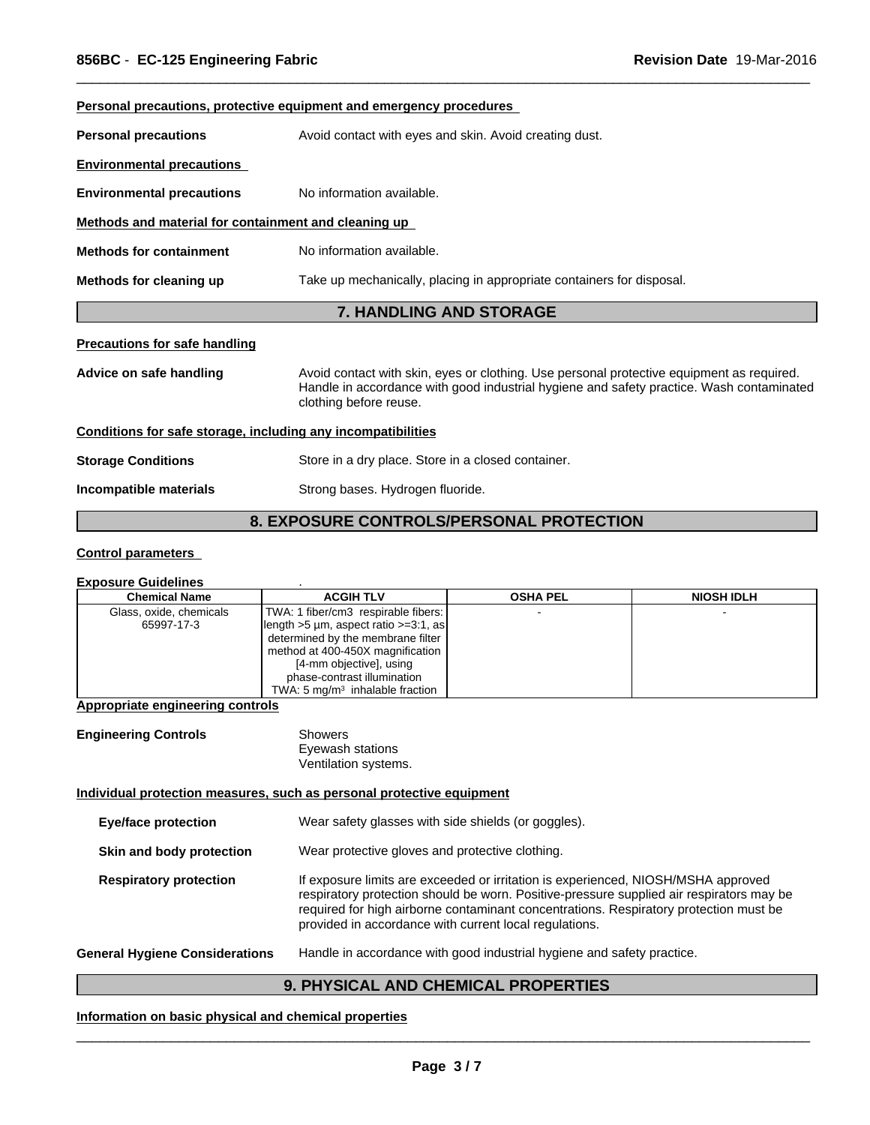|                                                              | Personal precautions, protective equipment and emergency procedures                                                                                                                                             |
|--------------------------------------------------------------|-----------------------------------------------------------------------------------------------------------------------------------------------------------------------------------------------------------------|
| <b>Personal precautions</b>                                  | Avoid contact with eyes and skin. Avoid creating dust.                                                                                                                                                          |
| <b>Environmental precautions</b>                             |                                                                                                                                                                                                                 |
| <b>Environmental precautions</b>                             | No information available.                                                                                                                                                                                       |
| Methods and material for containment and cleaning up         |                                                                                                                                                                                                                 |
| <b>Methods for containment</b>                               | No information available.                                                                                                                                                                                       |
| Methods for cleaning up                                      | Take up mechanically, placing in appropriate containers for disposal.                                                                                                                                           |
|                                                              | <b>7. HANDLING AND STORAGE</b>                                                                                                                                                                                  |
| <b>Precautions for safe handling</b>                         |                                                                                                                                                                                                                 |
| Advice on safe handling                                      | Avoid contact with skin, eyes or clothing. Use personal protective equipment as required.<br>Handle in accordance with good industrial hygiene and safety practice. Wash contaminated<br>clothing before reuse. |
| Conditions for safe storage, including any incompatibilities |                                                                                                                                                                                                                 |
| <b>Storage Conditions</b>                                    | Store in a dry place. Store in a closed container.                                                                                                                                                              |
| Incompatible materials                                       | Strong bases. Hydrogen fluoride.                                                                                                                                                                                |
|                                                              |                                                                                                                                                                                                                 |

 $\overline{\phantom{a}}$  ,  $\overline{\phantom{a}}$  ,  $\overline{\phantom{a}}$  ,  $\overline{\phantom{a}}$  ,  $\overline{\phantom{a}}$  ,  $\overline{\phantom{a}}$  ,  $\overline{\phantom{a}}$  ,  $\overline{\phantom{a}}$  ,  $\overline{\phantom{a}}$  ,  $\overline{\phantom{a}}$  ,  $\overline{\phantom{a}}$  ,  $\overline{\phantom{a}}$  ,  $\overline{\phantom{a}}$  ,  $\overline{\phantom{a}}$  ,  $\overline{\phantom{a}}$  ,  $\overline{\phantom{a}}$ 

# **8. EXPOSURE CONTROLS/PERSONAL PROTECTION**

## **Control parameters**

#### **Exposure Guidelines** .

| <b>Chemical Name</b>    | <b>ACGIH TLV</b>                                      | <b>OSHA PEL</b> | <b>NIOSH IDLH</b> |
|-------------------------|-------------------------------------------------------|-----------------|-------------------|
| Glass, oxide, chemicals | TWA: 1 fiber/cm3 respirable fibers:                   |                 |                   |
| 65997-17-3              | $\left  \right $ length >5 µm, aspect ratio >=3:1, as |                 |                   |
|                         | determined by the membrane filter                     |                 |                   |
|                         | method at 400-450X magnification                      |                 |                   |
|                         | [4-mm objective], using                               |                 |                   |
|                         | phase-contrast illumination                           |                 |                   |
|                         | TWA: 5 $mq/m3$ inhalable fraction                     |                 |                   |

## **Appropriate engineering controls**

| <b>Engineering Controls</b> | Showers              |  |
|-----------------------------|----------------------|--|
|                             | Eyewash stations     |  |
|                             | Ventilation systems. |  |

## **Individual protection measures, such as personal protective equipment**

| <b>Eye/face protection</b>            | Wear safety glasses with side shields (or goggles).                                                                                                                                                                                                                                                                              |
|---------------------------------------|----------------------------------------------------------------------------------------------------------------------------------------------------------------------------------------------------------------------------------------------------------------------------------------------------------------------------------|
| Skin and body protection              | Wear protective gloves and protective clothing.                                                                                                                                                                                                                                                                                  |
| <b>Respiratory protection</b>         | If exposure limits are exceeded or irritation is experienced, NIOSH/MSHA approved<br>respiratory protection should be worn. Positive-pressure supplied air respirators may be<br>required for high airborne contaminant concentrations. Respiratory protection must be<br>provided in accordance with current local regulations. |
| <b>General Hygiene Considerations</b> | Handle in accordance with good industrial hygiene and safety practice.                                                                                                                                                                                                                                                           |

# **9. PHYSICAL AND CHEMICAL PROPERTIES**

## **Information on basic physical and chemical properties**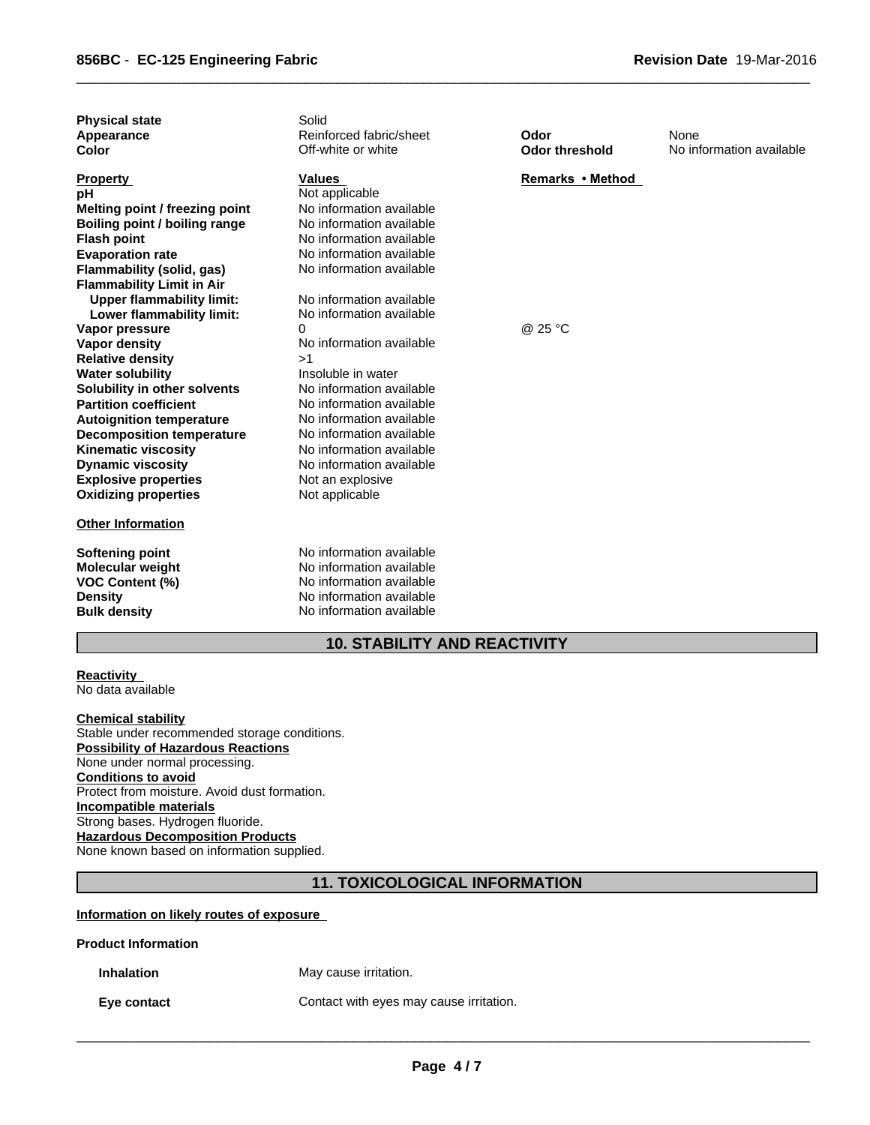| <b>Physical state</b><br>Appearance<br>Color         | Solid<br>Reinforced fabric/sheet<br>Off-white or white | Odor<br><b>Odor threshold</b> | None<br>No information available |
|------------------------------------------------------|--------------------------------------------------------|-------------------------------|----------------------------------|
| <b>Property</b>                                      | <b>Values</b>                                          | Remarks • Method              |                                  |
| рH                                                   | Not applicable                                         |                               |                                  |
| Melting point / freezing point                       | No information available<br>No information available   |                               |                                  |
| Boiling point / boiling range                        | No information available                               |                               |                                  |
| <b>Flash point</b>                                   | No information available                               |                               |                                  |
| <b>Evaporation rate</b><br>Flammability (solid, gas) | No information available                               |                               |                                  |
| <b>Flammability Limit in Air</b>                     |                                                        |                               |                                  |
| <b>Upper flammability limit:</b>                     | No information available                               |                               |                                  |
| Lower flammability limit:                            | No information available                               |                               |                                  |
| Vapor pressure                                       | 0                                                      | @ 25 °C                       |                                  |
| <b>Vapor density</b>                                 | No information available                               |                               |                                  |
| <b>Relative density</b>                              | >1                                                     |                               |                                  |
| <b>Water solubility</b>                              | Insoluble in water                                     |                               |                                  |
| Solubility in other solvents                         | No information available                               |                               |                                  |
| <b>Partition coefficient</b>                         | No information available                               |                               |                                  |
| <b>Autoignition temperature</b>                      | No information available                               |                               |                                  |
| <b>Decomposition temperature</b>                     | No information available                               |                               |                                  |
| <b>Kinematic viscosity</b>                           | No information available                               |                               |                                  |
| <b>Dynamic viscosity</b>                             | No information available                               |                               |                                  |
| <b>Explosive properties</b>                          | Not an explosive                                       |                               |                                  |
| <b>Oxidizing properties</b>                          | Not applicable                                         |                               |                                  |
| <b>Other Information</b>                             |                                                        |                               |                                  |
| Softening point<br><b>Molecular weight</b>           | No information available<br>No information available   |                               |                                  |
| VOC Content (%)                                      | No information available                               |                               |                                  |
| <b>Density</b>                                       | No information available                               |                               |                                  |
| <b>Bulk density</b>                                  | No information available                               |                               |                                  |

 $\overline{\phantom{a}}$  ,  $\overline{\phantom{a}}$  ,  $\overline{\phantom{a}}$  ,  $\overline{\phantom{a}}$  ,  $\overline{\phantom{a}}$  ,  $\overline{\phantom{a}}$  ,  $\overline{\phantom{a}}$  ,  $\overline{\phantom{a}}$  ,  $\overline{\phantom{a}}$  ,  $\overline{\phantom{a}}$  ,  $\overline{\phantom{a}}$  ,  $\overline{\phantom{a}}$  ,  $\overline{\phantom{a}}$  ,  $\overline{\phantom{a}}$  ,  $\overline{\phantom{a}}$  ,  $\overline{\phantom{a}}$ 

# **10. STABILITY AND REACTIVITY**

#### **Reactivity**  No data available

**Chemical stability** Stable under recommended storage conditions. **Possibility of Hazardous Reactions** None under normal processing. **Conditions to avoid** Protect from moisture. Avoid dust formation. **Incompatible materials** Strong bases. Hydrogen fluoride. **Hazardous Decomposition Products** None known based on information supplied.

# **11. TOXICOLOGICAL INFORMATION**

## **Information on likely routes of exposure**

## **Product Information**

**Inhalation** May cause irritation.

**Eye contact Contact** Contact with eyes may cause irritation.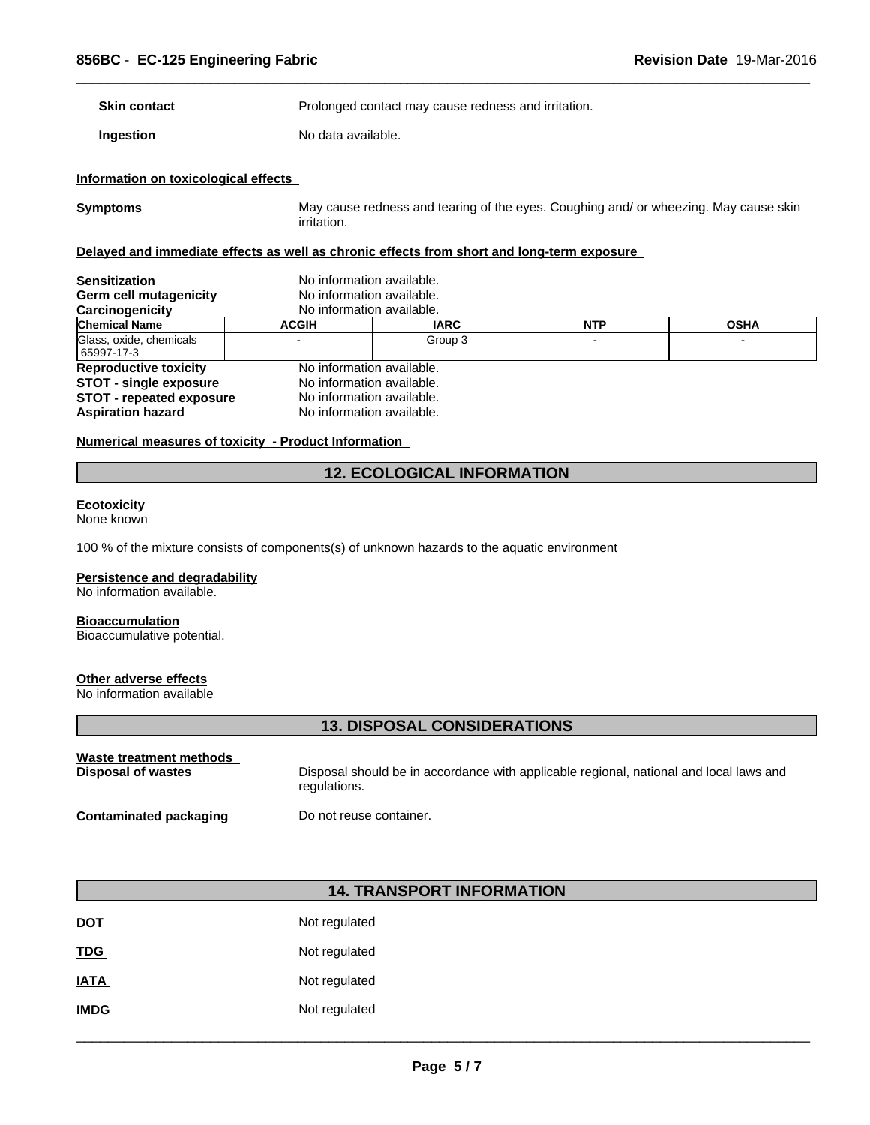**Skin contact Example 2018** Prolonged contact may cause redness and irritation.

**Ingestion** No data available.

### **Information on toxicological effects**

**Symptoms** May cause redness and tearing of the eyes. Coughing and/ or wheezing. May cause skin irritation.

 $\overline{\phantom{a}}$  ,  $\overline{\phantom{a}}$  ,  $\overline{\phantom{a}}$  ,  $\overline{\phantom{a}}$  ,  $\overline{\phantom{a}}$  ,  $\overline{\phantom{a}}$  ,  $\overline{\phantom{a}}$  ,  $\overline{\phantom{a}}$  ,  $\overline{\phantom{a}}$  ,  $\overline{\phantom{a}}$  ,  $\overline{\phantom{a}}$  ,  $\overline{\phantom{a}}$  ,  $\overline{\phantom{a}}$  ,  $\overline{\phantom{a}}$  ,  $\overline{\phantom{a}}$  ,  $\overline{\phantom{a}}$ 

## **Delayed and immediate effects as well as chronic effects from short and long-term exposure**

| <b>Sensitization</b><br>Germ cell mutagenicity<br>Carcinogenicity | No information available.<br>No information available.<br>No information available. |             |            |             |
|-------------------------------------------------------------------|-------------------------------------------------------------------------------------|-------------|------------|-------------|
| <b>Chemical Name</b>                                              | <b>ACGIH</b>                                                                        | <b>IARC</b> | <b>NTP</b> | <b>OSHA</b> |
| Glass, oxide, chemicals<br>  65997-17-3                           |                                                                                     | Group 3     |            |             |
| <b>Reproductive toxicity</b>                                      | No information available.                                                           |             |            |             |
| <b>STOT - single exposure</b>                                     | No information available.                                                           |             |            |             |
| <b>STOT - repeated exposure</b>                                   | No information available.                                                           |             |            |             |
| <b>Aspiration hazard</b>                                          | No information available.                                                           |             |            |             |

### **Numerical measures of toxicity - Product Information**

# **12. ECOLOGICAL INFORMATION**

#### **Ecotoxicity**

None known

100 % of the mixture consists of components(s) of unknown hazards to the aquatic environment

#### **Persistence and degradability**

No information available.

#### **Bioaccumulation**

Bioaccumulative potential.

# **Other adverse effects**

No information available

# **13. DISPOSAL CONSIDERATIONS**

| Waste treatment methods       | Disposal should be in accordance with applicable regional, national and local laws and |
|-------------------------------|----------------------------------------------------------------------------------------|
| Disposal of wastes            | regulations.                                                                           |
| <b>Contaminated packaging</b> | Do not reuse container.                                                                |

# **14. TRANSPORT INFORMATION**

| <b>DOT</b>  | Not regulated |
|-------------|---------------|
| <b>TDG</b>  | Not regulated |
| <b>IATA</b> | Not regulated |
| <b>IMDG</b> | Not regulated |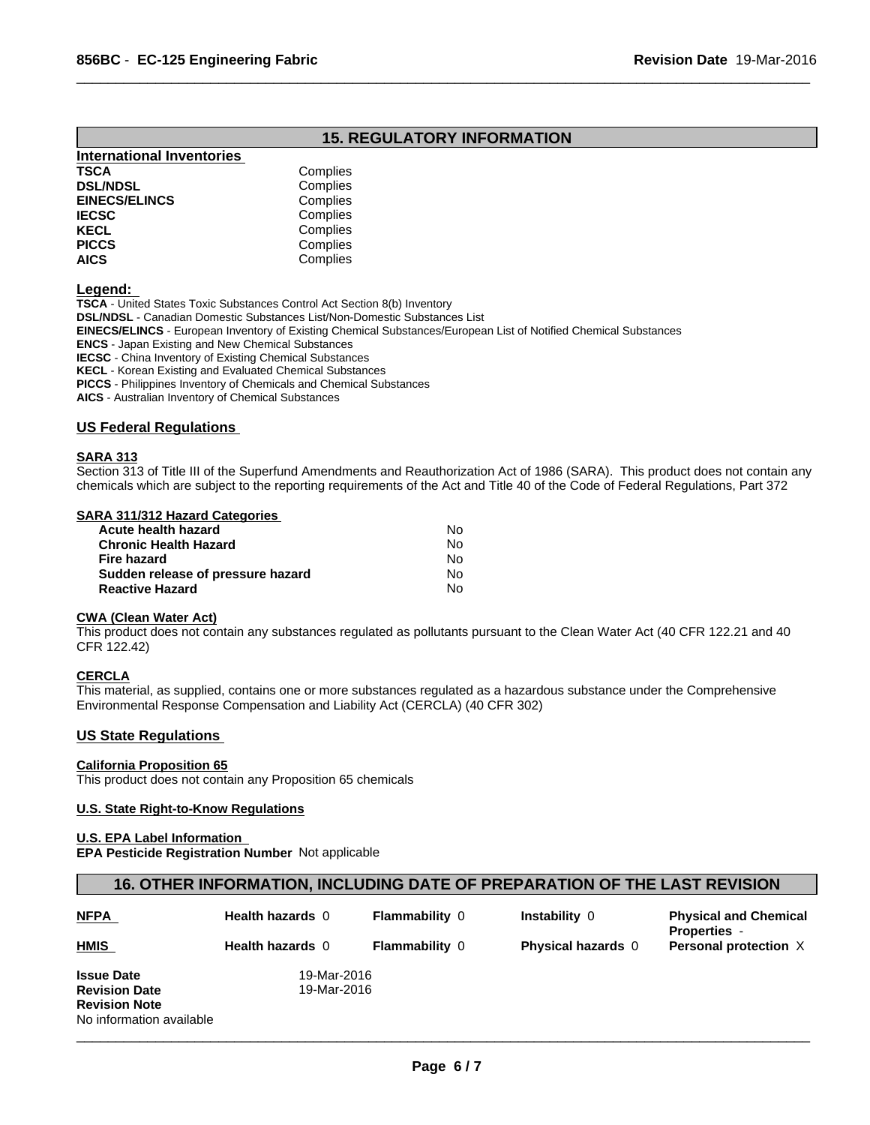# **15. REGULATORY INFORMATION**

 $\overline{\phantom{a}}$  ,  $\overline{\phantom{a}}$  ,  $\overline{\phantom{a}}$  ,  $\overline{\phantom{a}}$  ,  $\overline{\phantom{a}}$  ,  $\overline{\phantom{a}}$  ,  $\overline{\phantom{a}}$  ,  $\overline{\phantom{a}}$  ,  $\overline{\phantom{a}}$  ,  $\overline{\phantom{a}}$  ,  $\overline{\phantom{a}}$  ,  $\overline{\phantom{a}}$  ,  $\overline{\phantom{a}}$  ,  $\overline{\phantom{a}}$  ,  $\overline{\phantom{a}}$  ,  $\overline{\phantom{a}}$ 

| Complies |  |
|----------|--|
| Complies |  |
| Complies |  |
| Complies |  |
| Complies |  |
| Complies |  |
| Complies |  |
|          |  |

**Legend:** 

**TSCA** - United States Toxic Substances Control Act Section 8(b) Inventory

**DSL/NDSL** - Canadian Domestic Substances List/Non-Domestic Substances List

**EINECS/ELINCS** - European Inventory of Existing Chemical Substances/European List of Notified Chemical Substances

**ENCS** - Japan Existing and New Chemical Substances

**IECSC** - China Inventory of Existing Chemical Substances

**KECL** - Korean Existing and Evaluated Chemical Substances

**PICCS** - Philippines Inventory of Chemicals and Chemical Substances

**AICS** - Australian Inventory of Chemical Substances

#### **US Federal Regulations**

#### **SARA 313**

Section 313 of Title III of the Superfund Amendments and Reauthorization Act of 1986 (SARA). This product does not contain any chemicals which are subject to the reporting requirements of the Act and Title 40 of the Code of Federal Regulations, Part 372

## **SARA 311/312 Hazard Categories**

| Acute health hazard               | N٥ |  |
|-----------------------------------|----|--|
| <b>Chronic Health Hazard</b>      | N٥ |  |
| Fire hazard                       | N٥ |  |
| Sudden release of pressure hazard | N٥ |  |
| <b>Reactive Hazard</b>            | No |  |

#### **CWA (Clean Water Act)**

This product does not contain any substances regulated as pollutants pursuant to the Clean Water Act (40 CFR 122.21 and 40 CFR 122.42)

#### **CERCLA**

This material, as supplied, contains one or more substances regulated as a hazardous substance under the Comprehensive Environmental Response Compensation and Liability Act (CERCLA) (40 CFR 302)

## **US State Regulations**

## **California Proposition 65**

This product does not contain any Proposition 65 chemicals

#### **U.S. State Right-to-Know Regulations**

#### **U.S. EPA Label Information**

**EPA Pesticide Registration Number** Not applicable

## **16. OTHER INFORMATION, INCLUDING DATE OF PREPARATION OF THE LAST REVISION**

| <b>NFPA</b>              | <b>Health hazards 0</b> | <b>Flammability 0</b> | Instability 0             | <b>Physical and Chemical</b><br><b>Properties -</b> |
|--------------------------|-------------------------|-----------------------|---------------------------|-----------------------------------------------------|
| <b>HMIS</b>              | <b>Health hazards 0</b> | <b>Flammability 0</b> | <b>Physical hazards</b> 0 | Personal protection X                               |
| <b>Issue Date</b>        | 19-Mar-2016             |                       |                           |                                                     |
| <b>Revision Date</b>     | 19-Mar-2016             |                       |                           |                                                     |
| <b>Revision Note</b>     |                         |                       |                           |                                                     |
| No information available |                         |                       |                           |                                                     |